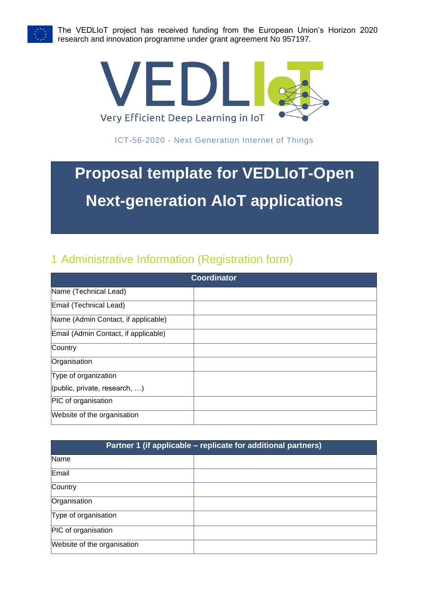

The VEDLIoT project has received funding from the European Union's Horizon 2020 research and innovation programme under grant agreement No 957197.



ICT-56-2020 - Next Generation Internet of Things

# **Proposal template for VEDLIoT-Open Next-generation AIoT applications**

## 1 Administrative Information (Registration form)

| <b>Coordinator</b>                   |  |  |  |  |
|--------------------------------------|--|--|--|--|
| Name (Technical Lead)                |  |  |  |  |
| Email (Technical Lead)               |  |  |  |  |
| Name (Admin Contact, if applicable)  |  |  |  |  |
| Email (Admin Contact, if applicable) |  |  |  |  |
| Country                              |  |  |  |  |
| Organisation                         |  |  |  |  |
| Type of organization                 |  |  |  |  |
| (public, private, research, )        |  |  |  |  |
| PIC of organisation                  |  |  |  |  |
| Website of the organisation          |  |  |  |  |

| Partner 1 (if applicable – replicate for additional partners) |  |  |  |  |
|---------------------------------------------------------------|--|--|--|--|
| Name                                                          |  |  |  |  |
| Email                                                         |  |  |  |  |
| Country                                                       |  |  |  |  |
| Organisation                                                  |  |  |  |  |
| Type of organisation                                          |  |  |  |  |
| PIC of organisation                                           |  |  |  |  |
| Website of the organisation                                   |  |  |  |  |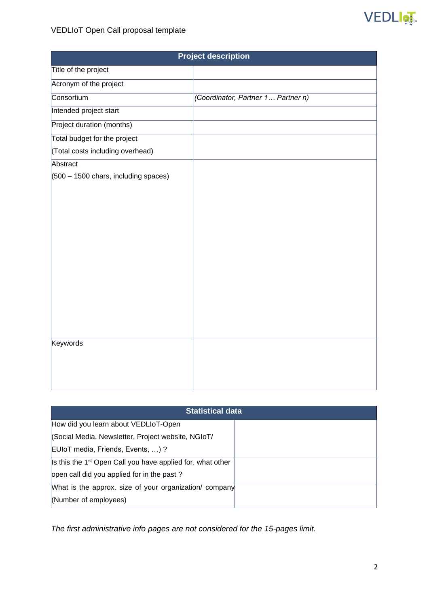

### VEDLIoT Open Call proposal template

| <b>Project description</b>                            |                                    |  |  |  |  |  |
|-------------------------------------------------------|------------------------------------|--|--|--|--|--|
| Title of the project                                  |                                    |  |  |  |  |  |
| Acronym of the project                                |                                    |  |  |  |  |  |
| Consortium                                            | (Coordinator, Partner 1 Partner n) |  |  |  |  |  |
| Intended project start                                |                                    |  |  |  |  |  |
| Project duration (months)                             |                                    |  |  |  |  |  |
| Total budget for the project                          |                                    |  |  |  |  |  |
| (Total costs including overhead)                      |                                    |  |  |  |  |  |
| Abstract                                              |                                    |  |  |  |  |  |
| $(500 - 1500 \text{ chars}, \text{including spaces})$ |                                    |  |  |  |  |  |
|                                                       |                                    |  |  |  |  |  |
|                                                       |                                    |  |  |  |  |  |
|                                                       |                                    |  |  |  |  |  |
|                                                       |                                    |  |  |  |  |  |
|                                                       |                                    |  |  |  |  |  |
|                                                       |                                    |  |  |  |  |  |
|                                                       |                                    |  |  |  |  |  |
|                                                       |                                    |  |  |  |  |  |
|                                                       |                                    |  |  |  |  |  |
|                                                       |                                    |  |  |  |  |  |
|                                                       |                                    |  |  |  |  |  |
|                                                       |                                    |  |  |  |  |  |
| <b>Keywords</b>                                       |                                    |  |  |  |  |  |
|                                                       |                                    |  |  |  |  |  |
|                                                       |                                    |  |  |  |  |  |
|                                                       |                                    |  |  |  |  |  |

| <b>Statistical data</b>                                                |  |  |  |  |  |
|------------------------------------------------------------------------|--|--|--|--|--|
| How did you learn about VEDLIoT-Open                                   |  |  |  |  |  |
| (Social Media, Newsletter, Project website, NGIoT/                     |  |  |  |  |  |
| EUIoT media, Friends, Events, )?                                       |  |  |  |  |  |
| Is this the 1 <sup>st</sup> Open Call you have applied for, what other |  |  |  |  |  |
| open call did you applied for in the past?                             |  |  |  |  |  |
| What is the approx. size of your organization/ company                 |  |  |  |  |  |
| (Number of employees)                                                  |  |  |  |  |  |

*The first administrative info pages are not considered for the 15-pages limit.*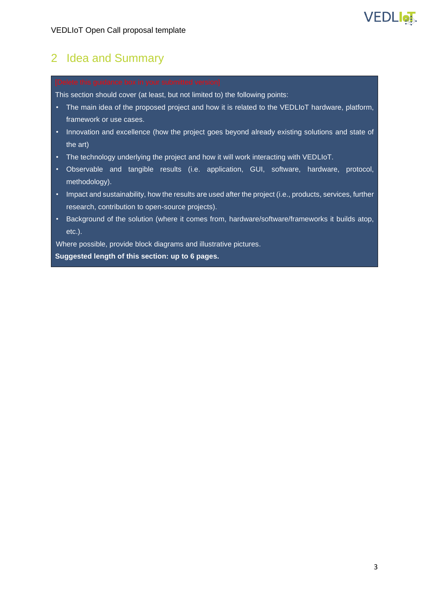

### 2 Idea and Summary

This section should cover (at least, but not limited to) the following points:

- The main idea of the proposed project and how it is related to the VEDLIoT hardware, platform, framework or use cases.
- Innovation and excellence (how the project goes beyond already existing solutions and state of the art)
- The technology underlying the project and how it will work interacting with VEDLIoT.
- Observable and tangible results (i.e. application, GUI, software, hardware, protocol, methodology).
- Impact and sustainability, how the results are used after the project (i.e., products, services, further research, contribution to open-source projects).
- Background of the solution (where it comes from, hardware/software/frameworks it builds atop, etc.).

Where possible, provide block diagrams and illustrative pictures. **Suggested length of this section: up to 6 pages.**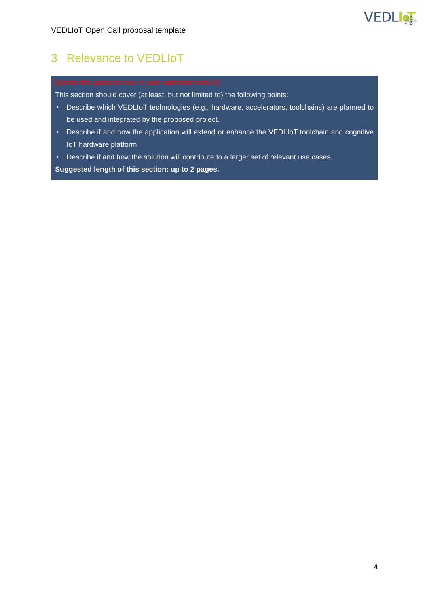

## 3 Relevance to VEDLIoT

This section should cover (at least, but not limited to) the following points:

- Describe which VEDLIoT technologies (e.g., hardware, accelerators, toolchains) are planned to be used and integrated by the proposed project.
- Describe if and how the application will extend or enhance the VEDLIoT toolchain and cognitive IoT hardware platform
- Describe if and how the solution will contribute to a larger set of relevant use cases.

**Suggested length of this section: up to 2 pages.**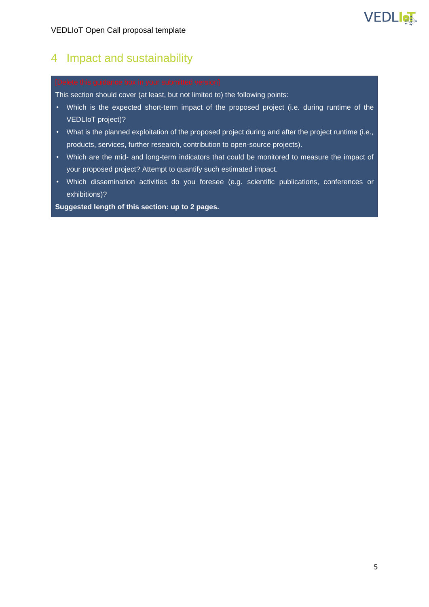# **VEDLIOT**

### 4 Impact and sustainability

This section should cover (at least, but not limited to) the following points:

- Which is the expected short-term impact of the proposed project (i.e. during runtime of the VEDLIoT project)?
- What is the planned exploitation of the proposed project during and after the project runtime (i.e., products, services, further research, contribution to open-source projects).
- Which are the mid- and long-term indicators that could be monitored to measure the impact of your proposed project? Attempt to quantify such estimated impact.
- Which dissemination activities do you foresee (e.g. scientific publications, conferences or exhibitions)?

**Suggested length of this section: up to 2 pages.**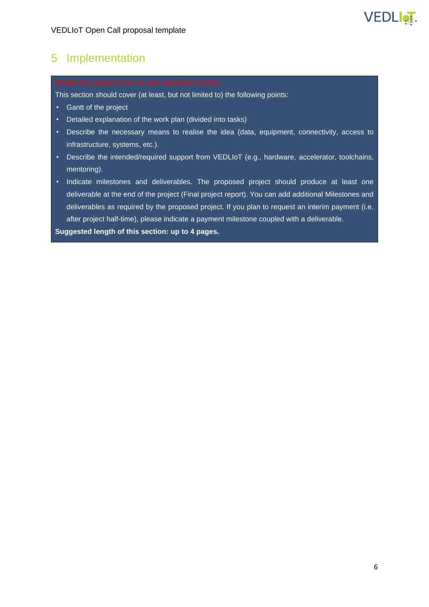# VEDLIGT

### 5 Implementation

This section should cover (at least, but not limited to) the following points:

- Gantt of the project
- Detailed explanation of the work plan (divided into tasks)
- Describe the necessary means to realise the idea (data, equipment, connectivity, access to infrastructure, systems, etc.).
- Describe the intended/required support from VEDLIoT (e.g., hardware, accelerator, toolchains, mentoring).
- Indicate milestones and deliverables. The proposed project should produce at least one deliverable at the end of the project (Final project report). You can add additional Milestones and deliverables as required by the proposed project. If you plan to request an interim payment (i.e. after project half-time), please indicate a payment milestone coupled with a deliverable.

**Suggested length of this section: up to 4 pages.**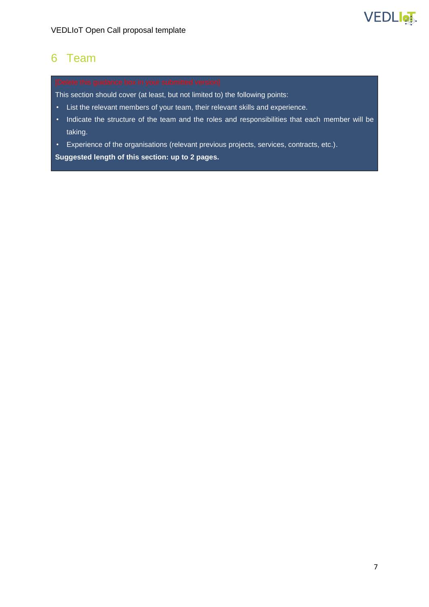

### 6 Team

This section should cover (at least, but not limited to) the following points:

- List the relevant members of your team, their relevant skills and experience.
- Indicate the structure of the team and the roles and responsibilities that each member will be taking.
- Experience of the organisations (relevant previous projects, services, contracts, etc.).

**Suggested length of this section: up to 2 pages.**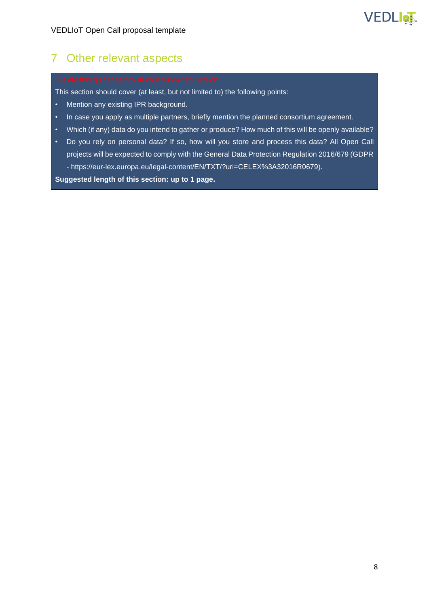

### 7 Other relevant aspects

This section should cover (at least, but not limited to) the following points:

- Mention any existing IPR background.
- In case you apply as multiple partners, briefly mention the planned consortium agreement.
- Which (if any) data do you intend to gather or produce? How much of this will be openly available?
- Do you rely on personal data? If so, how will you store and process this data? All Open Call projects will be expected to comply with the General Data Protection Regulation 2016/679 (GDPR - https://eur-lex.europa.eu/legal-content/EN/TXT/?uri=CELEX%3A32016R0679).

**Suggested length of this section: up to 1 page.**